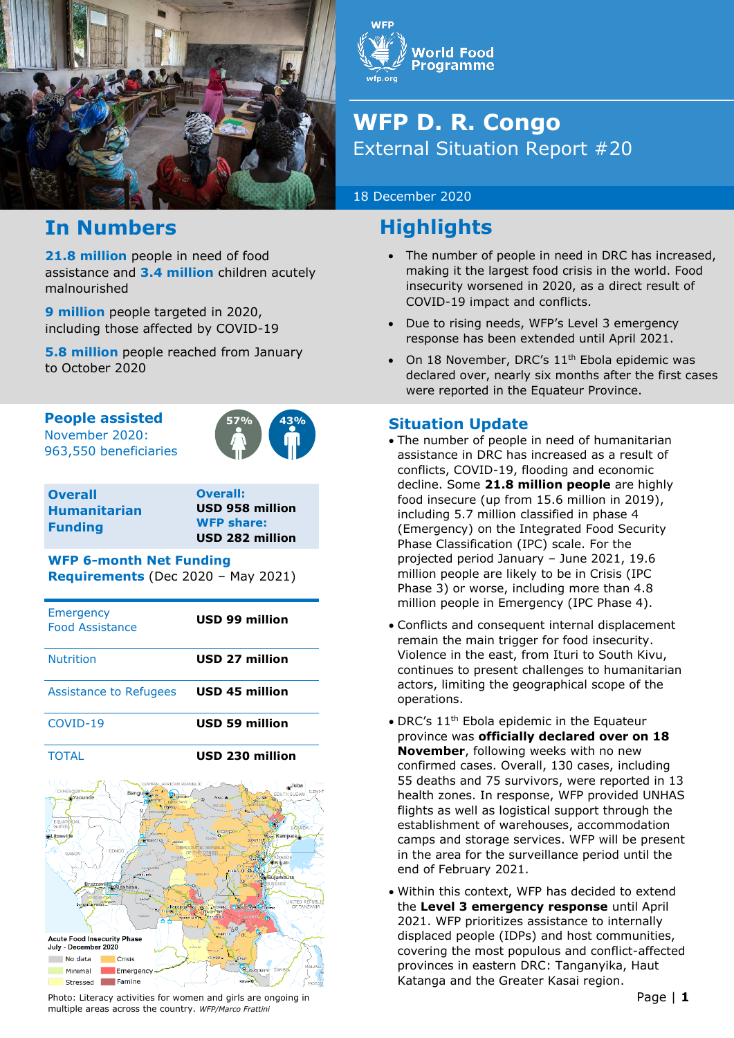



# **WFP D. R. Congo**  External Situation Report #20

18 December 2020

# **Highlights**

- The number of people in need in DRC has increased, making it the largest food crisis in the world. Food insecurity worsened in 2020, as a direct result of COVID-19 impact and conflicts.
- Due to rising needs, WFP's Level 3 emergency response has been extended until April 2021.
- On 18 November, DRC's 11<sup>th</sup> Ebola epidemic was declared over, nearly six months after the first cases were reported in the Equateur Province.

## **Situation Update**

- The number of people in need of humanitarian assistance in DRC has increased as a result of conflicts, COVID-19, flooding and economic decline. Some **21.8 million people** are highly food insecure (up from 15.6 million in 2019), including 5.7 million classified in phase 4 (Emergency) on the Integrated Food Security Phase Classification (IPC) scale. For the projected period January – June 2021, 19.6 million people are likely to be in Crisis (IPC Phase 3) or worse, including more than 4.8 million people in Emergency (IPC Phase 4).
- Conflicts and consequent internal displacement remain the main trigger for food insecurity. Violence in the east, from Ituri to South Kivu, continues to present challenges to humanitarian actors, limiting the geographical scope of the operations.
- DRC's 11<sup>th</sup> Ebola epidemic in the Equateur province was **officially declared over on 18 November**, following weeks with no new confirmed cases. Overall, 130 cases, including 55 deaths and 75 survivors, were reported in 13 health zones. In response, WFP provided UNHAS flights as well as logistical support through the establishment of warehouses, accommodation camps and storage services. WFP will be present in the area for the surveillance period until the end of February 2021.
- Within this context, WFP has decided to extend the **Level 3 emergency response** until April 2021. WFP prioritizes assistance to internally displaced people (IDPs) and host communities, covering the most populous and conflict-affected provinces in eastern DRC: Tanganyika, Haut Katanga and the Greater Kasai region.

# **In Numbers**

**21.8 million** people in need of food assistance and **3.4 million** children acutely malnourished

**9 million** people targeted in 2020, including those affected by COVID-19

**5.8 million** people reached from January to October 2020

**People assisted**

November 2020: 963,550 beneficiaries



**Overall Humanitarian Funding** 

**Overall: USD 958 million WFP share: USD 282 million**

#### **WFP 6-month Net Funding**

**Requirements** (Dec 2020 – May 2021)

| Emergency<br><b>Food Assistance</b> | <b>USD 99 million</b> |
|-------------------------------------|-----------------------|
| <b>Nutrition</b>                    | <b>USD 27 million</b> |
| Assistance to Refugees              | <b>USD 45 million</b> |
| COVID-19                            | <b>USD 59 million</b> |
| <b>TOTAL</b>                        | USD 230 million       |
|                                     |                       |



Photo: Literacy activities for women and girls are ongoing in  $\blacksquare$ multiple areas across the country. *WFP/Marco Frattini*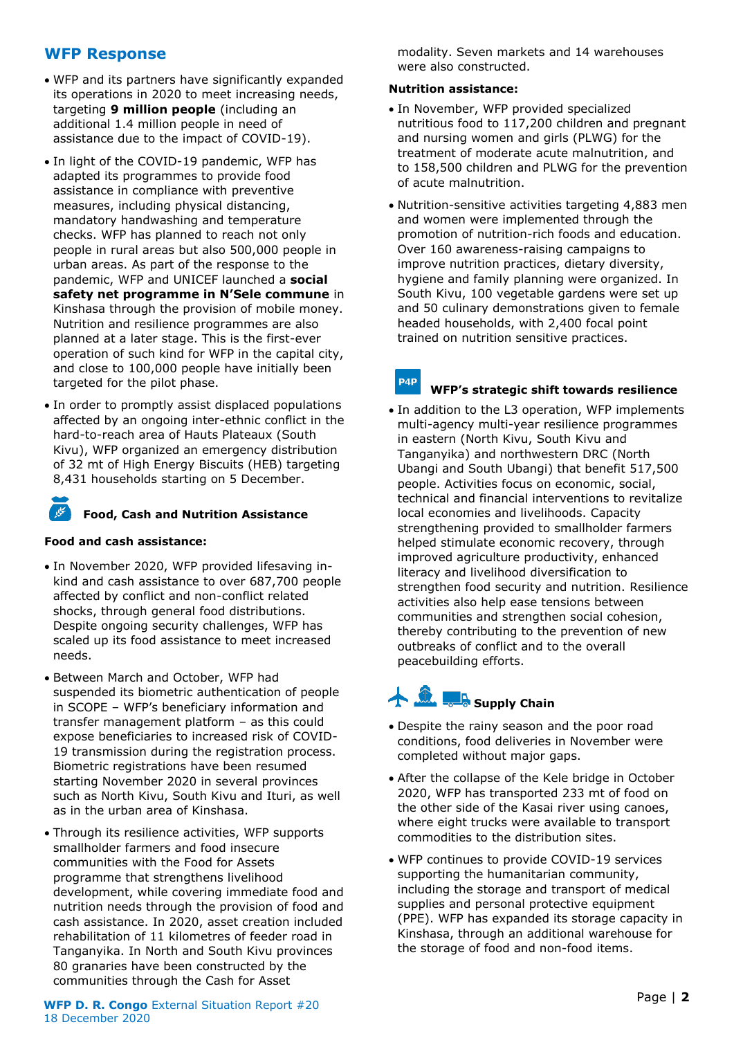### **WFP Response**

- WFP and its partners have significantly expanded its operations in 2020 to meet increasing needs, targeting **9 million people** (including an additional 1.4 million people in need of assistance due to the impact of COVID-19).
- In light of the COVID-19 pandemic, WFP has adapted its programmes to provide food assistance in compliance with preventive measures, including physical distancing, mandatory handwashing and temperature checks. WFP has planned to reach not only people in rural areas but also 500,000 people in urban areas. As part of the response to the pandemic, WFP and UNICEF launched a **social safety net programme in N'Sele commune** in Kinshasa through the provision of mobile money. Nutrition and resilience programmes are also planned at a later stage. This is the first-ever operation of such kind for WFP in the capital city, and close to 100,000 people have initially been targeted for the pilot phase.
- In order to promptly assist displaced populations affected by an ongoing inter-ethnic conflict in the hard-to-reach area of Hauts Plateaux (South Kivu), WFP organized an emergency distribution of 32 mt of High Energy Biscuits (HEB) targeting 8,431 households starting on 5 December.

## **Food, Cash and Nutrition Assistance**

#### **Food and cash assistance:**

- In November 2020, WFP provided lifesaving inkind and cash assistance to over 687,700 people affected by conflict and non-conflict related shocks, through general food distributions. Despite ongoing security challenges, WFP has scaled up its food assistance to meet increased needs.
- Between March and October, WFP had suspended its biometric authentication of people in SCOPE – WFP's beneficiary information and transfer management platform – as this could expose beneficiaries to increased risk of COVID-19 transmission during the registration process. Biometric registrations have been resumed starting November 2020 in several provinces such as North Kivu, South Kivu and Ituri, as well as in the urban area of Kinshasa.
- Through its resilience activities, WFP supports smallholder farmers and food insecure communities with the Food for Assets programme that strengthens livelihood development, while covering immediate food and nutrition needs through the provision of food and cash assistance. In 2020, asset creation included rehabilitation of 11 kilometres of feeder road in Tanganyika. In North and South Kivu provinces 80 granaries have been constructed by the communities through the Cash for Asset

**WFP D. R. Congo** External Situation Report #20 **External Situation Report #20 External Situation Report #20** 18 December 2020

modality. Seven markets and 14 warehouses were also constructed.

#### **Nutrition assistance:**

P4P

- In November, WFP provided specialized nutritious food to 117,200 children and pregnant and nursing women and girls (PLWG) for the treatment of moderate acute malnutrition, and to 158,500 children and PLWG for the prevention of acute malnutrition.
- Nutrition-sensitive activities targeting 4,883 men and women were implemented through the promotion of nutrition-rich foods and education. Over 160 awareness-raising campaigns to improve nutrition practices, dietary diversity, hygiene and family planning were organized. In South Kivu, 100 vegetable gardens were set up and 50 culinary demonstrations given to female headed households, with 2,400 focal point trained on nutrition sensitive practices.

#### **WFP's strategic shift towards resilience**

• In addition to the L3 operation, WFP implements multi-agency multi-year resilience programmes in eastern (North Kivu, South Kivu and Tanganyika) and northwestern DRC (North Ubangi and South Ubangi) that benefit 517,500 people. Activities focus on economic, social, technical and financial interventions to revitalize local economies and livelihoods. Capacity strengthening provided to smallholder farmers helped stimulate economic recovery, through improved agriculture productivity, enhanced literacy and livelihood diversification to strengthen food security and nutrition. Resilience activities also help ease tensions between communities and strengthen social cohesion, thereby contributing to the prevention of new outbreaks of conflict and to the overall peacebuilding efforts.

# **A Contract Chain**

- Despite the rainy season and the poor road conditions, food deliveries in November were completed without major gaps.
- After the collapse of the Kele bridge in October 2020, WFP has transported 233 mt of food on the other side of the Kasai river using canoes, where eight trucks were available to transport commodities to the distribution sites.
- WFP continues to provide COVID-19 services supporting the humanitarian community, including the storage and transport of medical supplies and personal protective equipment (PPE). WFP has expanded its storage capacity in Kinshasa, through an additional warehouse for the storage of food and non-food items.